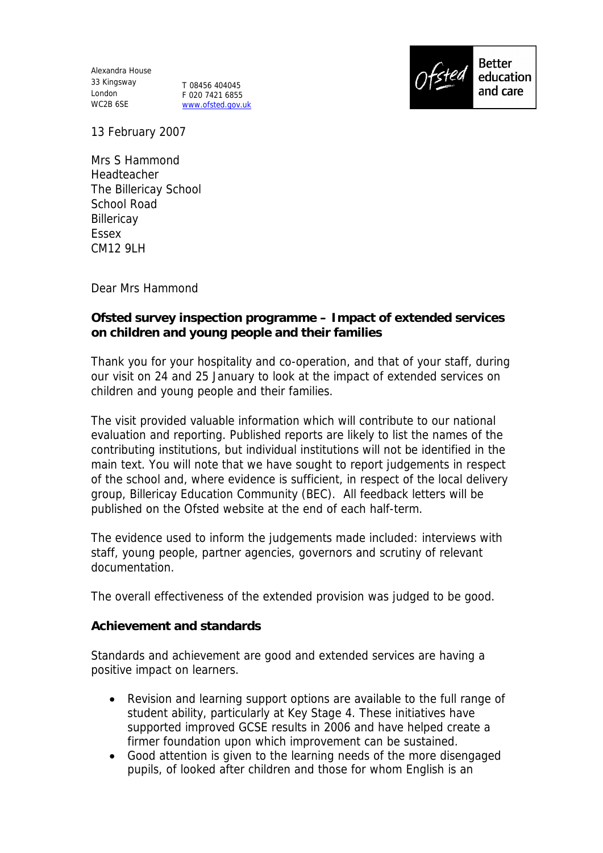Alexandra House 33 Kingsway London WC2B 6SE

T 08456 404045 F 020 7421 6855 www.ofsted.gov.uk



13 February 2007

Mrs S Hammond Headteacher The Billericay School School Road **Billericav** Essex CM12 9LH

Dear Mrs Hammond

**Ofsted survey inspection programme – Impact of extended services on children and young people and their families**

Thank you for your hospitality and co-operation, and that of your staff, during our visit on 24 and 25 January to look at the impact of extended services on children and young people and their families.

The visit provided valuable information which will contribute to our national evaluation and reporting. Published reports are likely to list the names of the contributing institutions, but individual institutions will not be identified in the main text. You will note that we have sought to report judgements in respect of the school and, where evidence is sufficient, in respect of the local delivery group, Billericay Education Community (BEC). All feedback letters will be published on the Ofsted website at the end of each half-term.

The evidence used to inform the judgements made included: interviews with staff, young people, partner agencies, governors and scrutiny of relevant documentation.

The overall effectiveness of the extended provision was judged to be good.

**Achievement and standards** 

Standards and achievement are good and extended services are having a positive impact on learners.

- Revision and learning support options are available to the full range of student ability, particularly at Key Stage 4. These initiatives have supported improved GCSE results in 2006 and have helped create a firmer foundation upon which improvement can be sustained.
- Good attention is given to the learning needs of the more disengaged pupils, of looked after children and those for whom English is an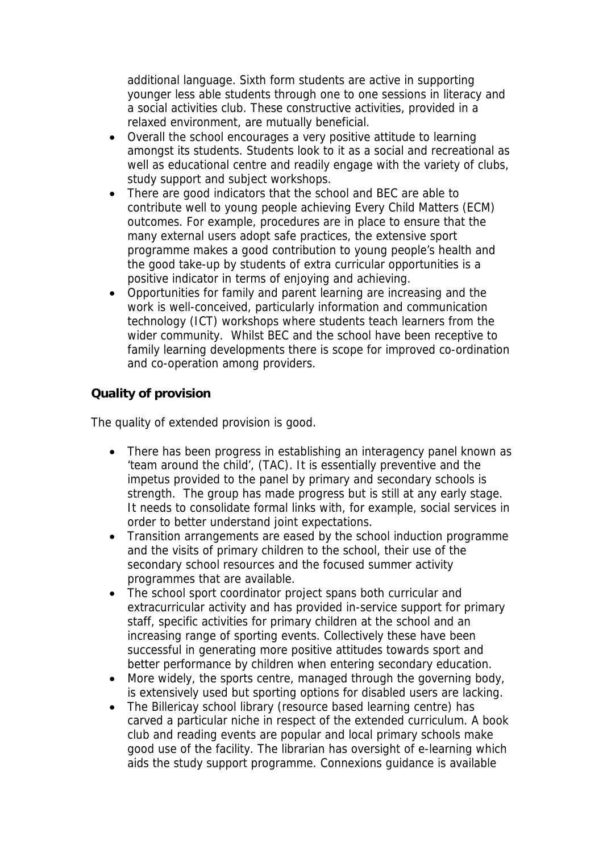additional language. Sixth form students are active in supporting younger less able students through one to one sessions in literacy and a social activities club. These constructive activities, provided in a relaxed environment, are mutually beneficial.

- Overall the school encourages a very positive attitude to learning amongst its students. Students look to it as a social and recreational as well as educational centre and readily engage with the variety of clubs, study support and subject workshops.
- There are good indicators that the school and BEC are able to contribute well to young people achieving Every Child Matters (ECM) outcomes. For example, procedures are in place to ensure that the many external users adopt safe practices, the extensive sport programme makes a good contribution to young people's health and the good take-up by students of extra curricular opportunities is a positive indicator in terms of enjoying and achieving.
- Opportunities for family and parent learning are increasing and the work is well-conceived, particularly information and communication technology (ICT) workshops where students teach learners from the wider community. Whilst BEC and the school have been receptive to family learning developments there is scope for improved co-ordination and co-operation among providers.

## **Quality of provision**

The quality of extended provision is good.

- There has been progress in establishing an interagency panel known as 'team around the child', (TAC). It is essentially preventive and the impetus provided to the panel by primary and secondary schools is strength. The group has made progress but is still at any early stage. It needs to consolidate formal links with, for example, social services in order to better understand joint expectations.
- Transition arrangements are eased by the school induction programme and the visits of primary children to the school, their use of the secondary school resources and the focused summer activity programmes that are available.
- The school sport coordinator project spans both curricular and extracurricular activity and has provided in-service support for primary staff, specific activities for primary children at the school and an increasing range of sporting events. Collectively these have been successful in generating more positive attitudes towards sport and better performance by children when entering secondary education.
- More widely, the sports centre, managed through the governing body, is extensively used but sporting options for disabled users are lacking.
- The Billericay school library (resource based learning centre) has carved a particular niche in respect of the extended curriculum. A book club and reading events are popular and local primary schools make good use of the facility. The librarian has oversight of e-learning which aids the study support programme. Connexions guidance is available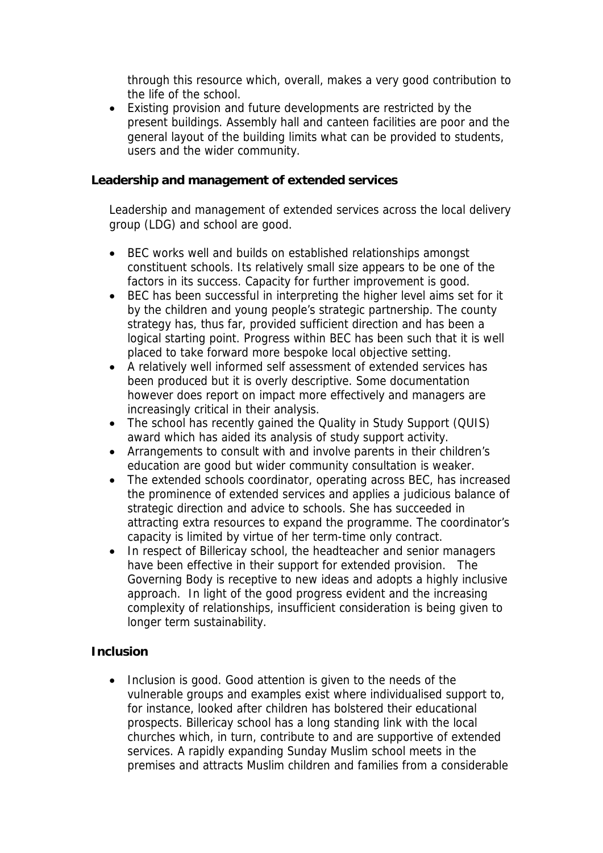through this resource which, overall, makes a very good contribution to the life of the school.

 Existing provision and future developments are restricted by the present buildings. Assembly hall and canteen facilities are poor and the general layout of the building limits what can be provided to students, users and the wider community.

**Leadership and management of extended services**

Leadership and management of extended services across the local delivery group (LDG) and school are good.

- BEC works well and builds on established relationships amongst constituent schools. Its relatively small size appears to be one of the factors in its success. Capacity for further improvement is good.
- BEC has been successful in interpreting the higher level aims set for it by the children and young people's strategic partnership. The county strategy has, thus far, provided sufficient direction and has been a logical starting point. Progress within BEC has been such that it is well placed to take forward more bespoke local objective setting.
- A relatively well informed self assessment of extended services has been produced but it is overly descriptive. Some documentation however does report on impact more effectively and managers are increasingly critical in their analysis.
- The school has recently gained the Quality in Study Support (QUIS) award which has aided its analysis of study support activity.
- Arrangements to consult with and involve parents in their children's education are good but wider community consultation is weaker.
- The extended schools coordinator, operating across BEC, has increased the prominence of extended services and applies a judicious balance of strategic direction and advice to schools. She has succeeded in attracting extra resources to expand the programme. The coordinator's capacity is limited by virtue of her term-time only contract.
- In respect of Billericay school, the headteacher and senior managers have been effective in their support for extended provision. The Governing Body is receptive to new ideas and adopts a highly inclusive approach. In light of the good progress evident and the increasing complexity of relationships, insufficient consideration is being given to longer term sustainability.

## **Inclusion**

• Inclusion is good. Good attention is given to the needs of the vulnerable groups and examples exist where individualised support to, for instance, looked after children has bolstered their educational prospects. Billericay school has a long standing link with the local churches which, in turn, contribute to and are supportive of extended services. A rapidly expanding Sunday Muslim school meets in the premises and attracts Muslim children and families from a considerable